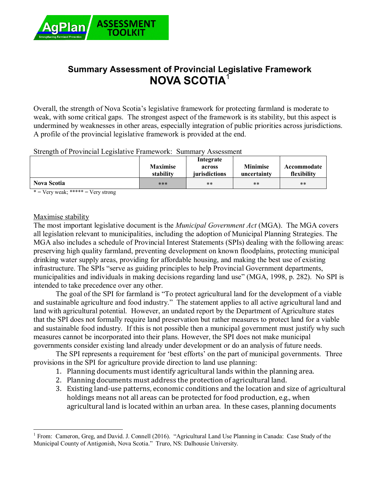

# **Summary Assessment of Provincial Legislative Framework NOVA SCOTIA**<sup>1</sup>

Overall, the strength of Nova Scotia's legislative framework for protecting farmland is moderate to weak, with some critical gaps. The strongest aspect of the framework is its stability, but this aspect is undermined by weaknesses in other areas, especially integration of public priorities across jurisdictions. A profile of the provincial legislative framework is provided at the end.

| Strength of Provincial Legislative Framework: Summary Assessment |  |  |  |
|------------------------------------------------------------------|--|--|--|
|                                                                  |  |  |  |

|                    | <b>Maximise</b><br>stability | Integrate<br>across<br><i>iurisdictions</i> | <b>Minimise</b><br>uncertainty | Accommodate<br>flexibility |
|--------------------|------------------------------|---------------------------------------------|--------------------------------|----------------------------|
| <b>Nova Scotia</b> | ***                          | **                                          | $**$                           | $***$                      |

 $* = \text{Very weak};$  \*\*\*\*\* =  $\text{Very strong}$ 

#### Maximise stability

The most important legislative document is the *Municipal Government Act* (MGA). The MGA covers all legislation relevant to municipalities, including the adoption of Municipal Planning Strategies. The MGA also includes a schedule of Provincial Interest Statements (SPIs) dealing with the following areas: preserving high quality farmland, preventing development on known floodplains, protecting municipal drinking water supply areas, providing for affordable housing, and making the best use of existing infrastructure. The SPIs "serve as guiding principles to help Provincial Government departments, municipalities and individuals in making decisions regarding land use" (MGA, 1998, p. 282). No SPI is intended to take precedence over any other.

The goal of the SPI for farmland is "To protect agricultural land for the development of a viable and sustainable agriculture and food industry." The statement applies to all active agricultural land and land with agricultural potential. However, an undated report by the Department of Agriculture states that the SPI does not formally require land preservation but rather measures to protect land for a viable and sustainable food industry. If this is not possible then a municipal government must justify why such measures cannot be incorporated into their plans. However, the SPI does not make municipal governments consider existing land already under development or do an analysis of future needs.

The SPI represents a requirement for 'best efforts' on the part of municipal governments. Three provisions in the SPI for agriculture provide direction to land use planning:

- 1. Planning documents must identify agricultural lands within the planning area.
- 2. Planning documents must address the protection of agricultural land.
- 3. Existing land-use patterns, economic conditions and the location and size of agricultural holdings means not all areas can be protected for food production, e.g., when agricultural land is located within an urban area. In these cases, planning documents

 $\overline{a}$ 1 From: Cameron, Greg, and David. J. Connell (2016). "Agricultural Land Use Planning in Canada: Case Study of the Municipal County of Antigonish, Nova Scotia." Truro, NS: Dalhousie University.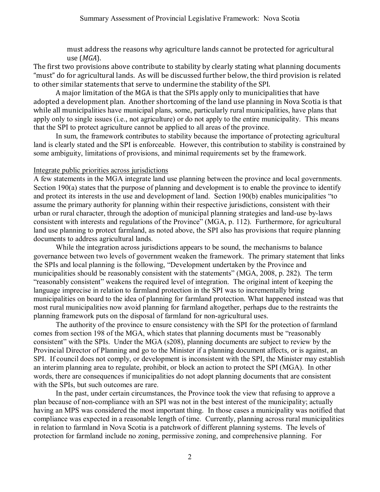must address the reasons why agriculture lands cannot be protected for agricultural use (*MGA*).

The first two provisions above contribute to stability by clearly stating what planning documents "must" do for agricultural lands. As will be discussed further below, the third provision is related to other similar statements that serve to undermine the stability of the SPI.

A major limitation of the MGA is that the SPIs apply only to municipalities that have adopted a development plan. Another shortcoming of the land use planning in Nova Scotia is that while all municipalities have municipal plans, some, particularly rural municipalities, have plans that apply only to single issues (i.e., not agriculture) or do not apply to the entire municipality. This means that the SPI to protect agriculture cannot be applied to all areas of the province.

In sum, the framework contributes to stability because the importance of protecting agricultural land is clearly stated and the SPI is enforceable. However, this contribution to stability is constrained by some ambiguity, limitations of provisions, and minimal requirements set by the framework.

#### Integrate public priorities across jurisdictions

A few statements in the MGA integrate land use planning between the province and local governments. Section 190(a) states that the purpose of planning and development is to enable the province to identify and protect its interests in the use and development of land. Section 190(b) enables municipalities "to assume the primary authority for planning within their respective jurisdictions, consistent with their urban or rural character, through the adoption of municipal planning strategies and land-use by-laws consistent with interests and regulations of the Province" (MGA, p. 112). Furthermore, for agricultural land use planning to protect farmland, as noted above, the SPI also has provisions that require planning documents to address agricultural lands.

While the integration across jurisdictions appears to be sound, the mechanisms to balance governance between two levels of government weaken the framework. The primary statement that links the SPIs and local planning is the following, "Development undertaken by the Province and municipalities should be reasonably consistent with the statements" (MGA, 2008, p. 282). The term "reasonably consistent" weakens the required level of integration. The original intent of keeping the language imprecise in relation to farmland protection in the SPI was to incrementally bring municipalities on board to the idea of planning for farmland protection. What happened instead was that most rural municipalities now avoid planning for farmland altogether, perhaps due to the restraints the planning framework puts on the disposal of farmland for non-agricultural uses.

The authority of the province to ensure consistency with the SPI for the protection of farmland comes from section 198 of the MGA, which states that planning documents must be "reasonably consistent" with the SPIs. Under the MGA (s208), planning documents are subject to review by the Provincial Director of Planning and go to the Minister if a planning document affects, or is against, an SPI. If council does not comply, or development is inconsistent with the SPI, the Minister may establish an interim planning area to regulate, prohibit, or block an action to protect the SPI (MGA). In other words, there are consequences if municipalities do not adopt planning documents that are consistent with the SPIs, but such outcomes are rare.

In the past, under certain circumstances, the Province took the view that refusing to approve a plan because of non-compliance with an SPI was not in the best interest of the municipality; actually having an MPS was considered the most important thing. In those cases a municipality was notified that compliance was expected in a reasonable length of time. Currently, planning across rural municipalities in relation to farmland in Nova Scotia is a patchwork of different planning systems. The levels of protection for farmland include no zoning, permissive zoning, and comprehensive planning. For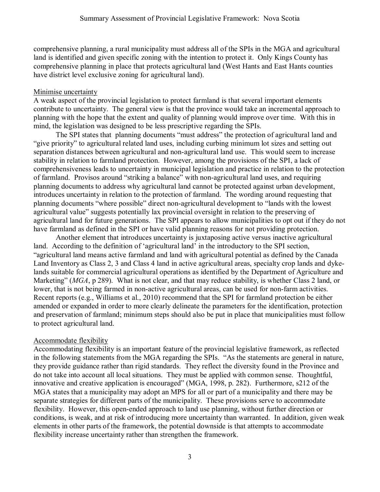comprehensive planning, a rural municipality must address all of the SPIs in the MGA and agricultural land is identified and given specific zoning with the intention to protect it. Only Kings County has comprehensive planning in place that protects agricultural land (West Hants and East Hants counties have district level exclusive zoning for agricultural land).

### Minimise uncertainty

A weak aspect of the provincial legislation to protect farmland is that several important elements contribute to uncertainty. The general view is that the province would take an incremental approach to planning with the hope that the extent and quality of planning would improve over time. With this in mind, the legislation was designed to be less prescriptive regarding the SPIs.

The SPI states that planning documents "must address" the protection of agricultural land and "give priority" to agricultural related land uses, including curbing minimum lot sizes and setting out separation distances between agricultural and non-agricultural land use. This would seem to increase stability in relation to farmland protection. However, among the provisions of the SPI, a lack of comprehensiveness leads to uncertainty in municipal legislation and practice in relation to the protection of farmland. Provisos around "striking a balance" with non-agricultural land uses, and requiring planning documents to address why agricultural land cannot be protected against urban development, introduces uncertainty in relation to the protection of farmland. The wording around requesting that planning documents "where possible" direct non-agricultural development to "lands with the lowest agricultural value" suggests potentially lax provincial oversight in relation to the preserving of agricultural land for future generations. The SPI appears to allow municipalities to opt out if they do not have farmland as defined in the SPI or have valid planning reasons for not providing protection.

Another element that introduces uncertainty is juxtaposing active versus inactive agricultural land. According to the definition of 'agricultural land' in the introductory to the SPI section, "agricultural land means active farmland and land with agricultural potential as defined by the Canada Land Inventory as Class 2, 3 and Class 4 land in active agricultural areas, specialty crop lands and dykelands suitable for commercial agricultural operations as identified by the Department of Agriculture and Marketing" (*MGA*, p 289). What is not clear, and that may reduce stability, is whether Class 2 land, or lower, that is not being farmed in non-active agricultural areas, can be used for non-farm activities. Recent reports (e.g., Williams et al., 2010) recommend that the SPI for farmland protection be either amended or expanded in order to more clearly delineate the parameters for the identification, protection and preservation of farmland; minimum steps should also be put in place that municipalities must follow to protect agricultural land.

## Accommodate flexibility

Accommodating flexibility is an important feature of the provincial legislative framework, as reflected in the following statements from the MGA regarding the SPIs. "As the statements are general in nature, they provide guidance rather than rigid standards. They reflect the diversity found in the Province and do not take into account all local situations. They must be applied with common sense. Thoughtful, innovative and creative application is encouraged" (MGA, 1998, p. 282). Furthermore, s212 of the MGA states that a municipality may adopt an MPS for all or part of a municipality and there may be separate strategies for different parts of the municipality. These provisions serve to accommodate flexibility. However, this open-ended approach to land use planning, without further direction or conditions, is weak, and at risk of introducing more uncertainty than warranted. In addition, given weak elements in other parts of the framework, the potential downside is that attempts to accommodate flexibility increase uncertainty rather than strengthen the framework.